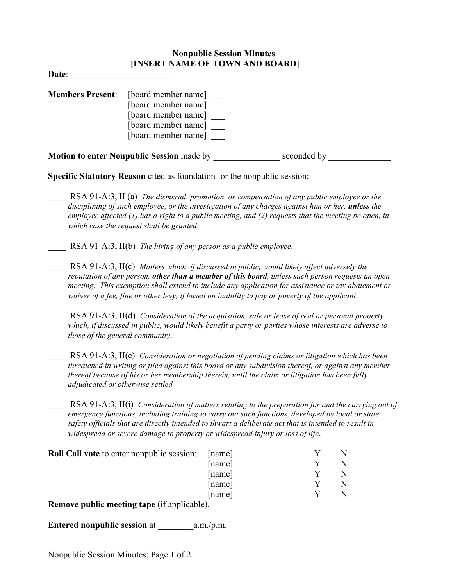## **Nonpublic Session Minutes [INSERT NAME OF TOWN AND BOARD]**

**Date**: \_\_\_\_\_\_\_\_\_\_\_\_\_\_\_\_\_\_\_\_\_\_\_

| <b>Members Present:</b> | [board member name]<br>[board member name]<br>[board member name]<br>[board member name]<br>[board member name] |             |  |
|-------------------------|-----------------------------------------------------------------------------------------------------------------|-------------|--|
|                         | <b>Motion to enter Nonpublic Session made by</b>                                                                | seconded by |  |

**Specific Statutory Reason** cited as foundation for the nonpublic session:

- \_\_\_\_ RSA 91-A:3, II (a) *The dismissal, promotion, or compensation of any public employee or the disciplining of such employee, or the investigation of any charges against him or her, unless the employee affected (1) has a right to a public meeting, and (2) requests that the meeting be open, in which case the request shall be granted*.
	- \_\_\_\_ RSA 91-A:3, II(b) *The hiring of any person as a public employee*.
- \_\_\_\_ RSA 91-A:3, II(c) *Matters which, if discussed in public, would likely affect adversely the reputation of any person, other than a member of this board, unless such person requests an open meeting. This exemption shall extend to include any application for assistance or tax abatement or waiver of a fee, fine or other levy, if based on inability to pay or poverty of the applicant*.
- \_\_\_\_ RSA 91-A:3, II(d) *Consideration of the acquisition, sale or lease of real or personal property which, if discussed in public, would likely benefit a party or parties whose interests are adverse to those of the general community*.
	- \_\_\_\_ RSA 91-A:3, II(e) *Consideration or negotiation of pending claims or litigation which has been threatened in writing or filed against this board or any subdivision thereof, or against any member thereof because of his or her membership therein, until the claim or litigation has been fully adjudicated or otherwise settled*

RSA 91-A:3, II(i) *Consideration of matters relating to the preparation for and the carrying out of emergency functions, including training to carry out such functions, developed by local or state safety officials that are directly intended to thwart a deliberate act that is intended to result in widespread or severe damage to property or widespread injury or loss of life*.

| <b>Roll Call vote to enter nonpublic session:</b> | [name] |  |
|---------------------------------------------------|--------|--|
|                                                   | [name] |  |
|                                                   | [name] |  |
|                                                   | [name] |  |
|                                                   | [name] |  |
| $\mathbf{D}$ 11' $\mathbf{P}$ 1' 11)              |        |  |

**Remove public meeting tape** (if applicable).

**Entered nonpublic session** at  $a.m./p.m.$